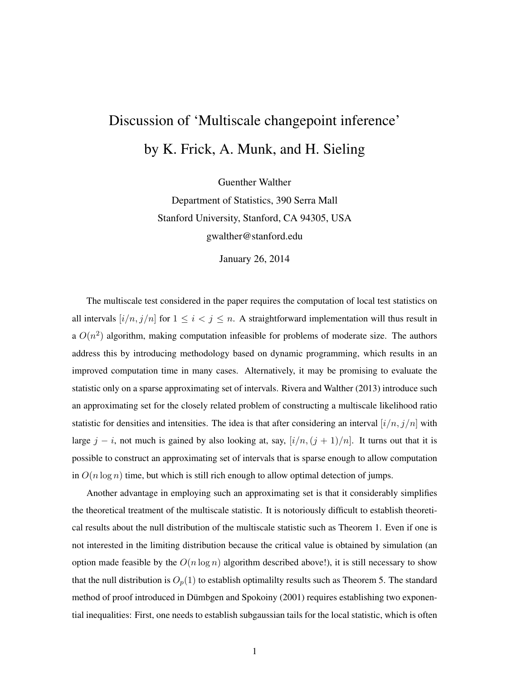## Discussion of 'Multiscale changepoint inference' by K. Frick, A. Munk, and H. Sieling

Guenther Walther

Department of Statistics, 390 Serra Mall Stanford University, Stanford, CA 94305, USA gwalther@stanford.edu

January 26, 2014

The multiscale test considered in the paper requires the computation of local test statistics on all intervals  $[i/n, j/n]$  for  $1 \leq i < j \leq n$ . A straightforward implementation will thus result in a  $O(n^2)$  algorithm, making computation infeasible for problems of moderate size. The authors address this by introducing methodology based on dynamic programming, which results in an improved computation time in many cases. Alternatively, it may be promising to evaluate the statistic only on a sparse approximating set of intervals. Rivera and Walther (2013) introduce such an approximating set for the closely related problem of constructing a multiscale likelihood ratio statistic for densities and intensities. The idea is that after considering an interval  $[i/n, j/n]$  with large j – i, not much is gained by also looking at, say,  $[i/n,(j+1)/n]$ . It turns out that it is possible to construct an approximating set of intervals that is sparse enough to allow computation in  $O(n \log n)$  time, but which is still rich enough to allow optimal detection of jumps.

Another advantage in employing such an approximating set is that it considerably simplifies the theoretical treatment of the multiscale statistic. It is notoriously difficult to establish theoretical results about the null distribution of the multiscale statistic such as Theorem 1. Even if one is not interested in the limiting distribution because the critical value is obtained by simulation (an option made feasible by the  $O(n \log n)$  algorithm described above!), it is still necessary to show that the null distribution is  $O_p(1)$  to establish optimalilty results such as Theorem 5. The standard method of proof introduced in Dümbgen and Spokoiny (2001) requires establishing two exponential inequalities: First, one needs to establish subgaussian tails for the local statistic, which is often